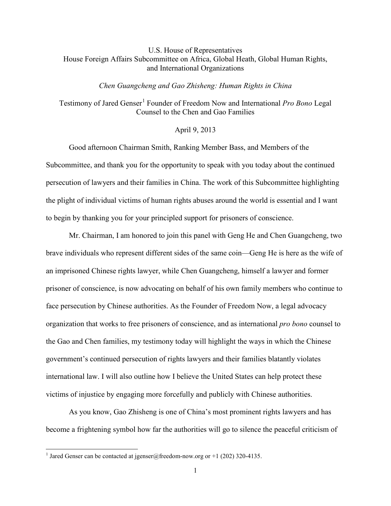## U.S. House of Representatives House Foreign Affairs Subcommittee on Africa, Global Heath, Global Human Rights, and International Organizations

## *Chen Guangcheng and Gao Zhisheng: Human Rights in China*

Testimony of Jared Genser<sup>[1](#page-0-0)</sup> Founder of Freedom Now and International *Pro Bono* Legal Counsel to the Chen and Gao Families

## April 9, 2013

Good afternoon Chairman Smith, Ranking Member Bass, and Members of the Subcommittee, and thank you for the opportunity to speak with you today about the continued persecution of lawyers and their families in China. The work of this Subcommittee highlighting the plight of individual victims of human rights abuses around the world is essential and I want to begin by thanking you for your principled support for prisoners of conscience.

Mr. Chairman, I am honored to join this panel with Geng He and Chen Guangcheng, two brave individuals who represent different sides of the same coin—Geng He is here as the wife of an imprisoned Chinese rights lawyer, while Chen Guangcheng, himself a lawyer and former prisoner of conscience, is now advocating on behalf of his own family members who continue to face persecution by Chinese authorities. As the Founder of Freedom Now, a legal advocacy organization that works to free prisoners of conscience, and as international *pro bono* counsel to the Gao and Chen families, my testimony today will highlight the ways in which the Chinese government's continued persecution of rights lawyers and their families blatantly violates international law. I will also outline how I believe the United States can help protect these victims of injustice by engaging more forcefully and publicly with Chinese authorities.

As you know, Gao Zhisheng is one of China's most prominent rights lawyers and has become a frightening symbol how far the authorities will go to silence the peaceful criticism of

l

<span id="page-0-0"></span><sup>&</sup>lt;sup>1</sup> Jared Genser can be contacted at [jgenser@freedom-now.org](mailto:jgenser@freedom-now.org) or +1 (202) 320-4135.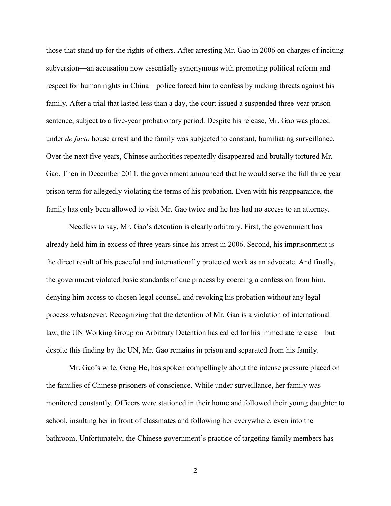those that stand up for the rights of others. After arresting Mr. Gao in 2006 on charges of inciting subversion—an accusation now essentially synonymous with promoting political reform and respect for human rights in China—police forced him to confess by making threats against his family. After a trial that lasted less than a day, the court issued a suspended three-year prison sentence, subject to a five-year probationary period. Despite his release, Mr. Gao was placed under *de facto* house arrest and the family was subjected to constant, humiliating surveillance. Over the next five years, Chinese authorities repeatedly disappeared and brutally tortured Mr. Gao. Then in December 2011, the government announced that he would serve the full three year prison term for allegedly violating the terms of his probation. Even with his reappearance, the family has only been allowed to visit Mr. Gao twice and he has had no access to an attorney.

Needless to say, Mr. Gao's detention is clearly arbitrary. First, the government has already held him in excess of three years since his arrest in 2006. Second, his imprisonment is the direct result of his peaceful and internationally protected work as an advocate. And finally, the government violated basic standards of due process by coercing a confession from him, denying him access to chosen legal counsel, and revoking his probation without any legal process whatsoever. Recognizing that the detention of Mr. Gao is a violation of international law, the UN Working Group on Arbitrary Detention has called for his immediate release—but despite this finding by the UN, Mr. Gao remains in prison and separated from his family.

Mr. Gao's wife, Geng He, has spoken compellingly about the intense pressure placed on the families of Chinese prisoners of conscience. While under surveillance, her family was monitored constantly. Officers were stationed in their home and followed their young daughter to school, insulting her in front of classmates and following her everywhere, even into the bathroom. Unfortunately, the Chinese government's practice of targeting family members has

2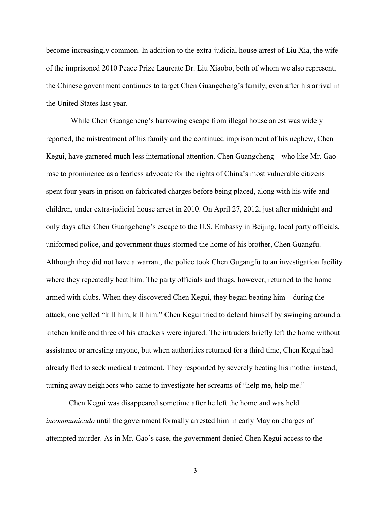become increasingly common. In addition to the extra-judicial house arrest of Liu Xia, the wife of the imprisoned 2010 Peace Prize Laureate Dr. Liu Xiaobo, both of whom we also represent, the Chinese government continues to target Chen Guangcheng's family, even after his arrival in the United States last year.

While Chen Guangcheng's harrowing escape from illegal house arrest was widely reported, the mistreatment of his family and the continued imprisonment of his nephew, Chen Kegui, have garnered much less international attention. Chen Guangcheng—who like Mr. Gao rose to prominence as a fearless advocate for the rights of China's most vulnerable citizens spent four years in prison on fabricated charges before being placed, along with his wife and children, under extra-judicial house arrest in 2010. On April 27, 2012, just after midnight and only days after Chen Guangcheng's escape to the U.S. Embassy in Beijing, local party officials, uniformed police, and government thugs stormed the home of his brother, Chen Guangfu. Although they did not have a warrant, the police took Chen Gugangfu to an investigation facility where they repeatedly beat him. The party officials and thugs, however, returned to the home armed with clubs. When they discovered Chen Kegui, they began beating him—during the attack, one yelled "kill him, kill him." Chen Kegui tried to defend himself by swinging around a kitchen knife and three of his attackers were injured. The intruders briefly left the home without assistance or arresting anyone, but when authorities returned for a third time, Chen Kegui had already fled to seek medical treatment. They responded by severely beating his mother instead, turning away neighbors who came to investigate her screams of "help me, help me."

Chen Kegui was disappeared sometime after he left the home and was held *incommunicado* until the government formally arrested him in early May on charges of attempted murder. As in Mr. Gao's case, the government denied Chen Kegui access to the

3